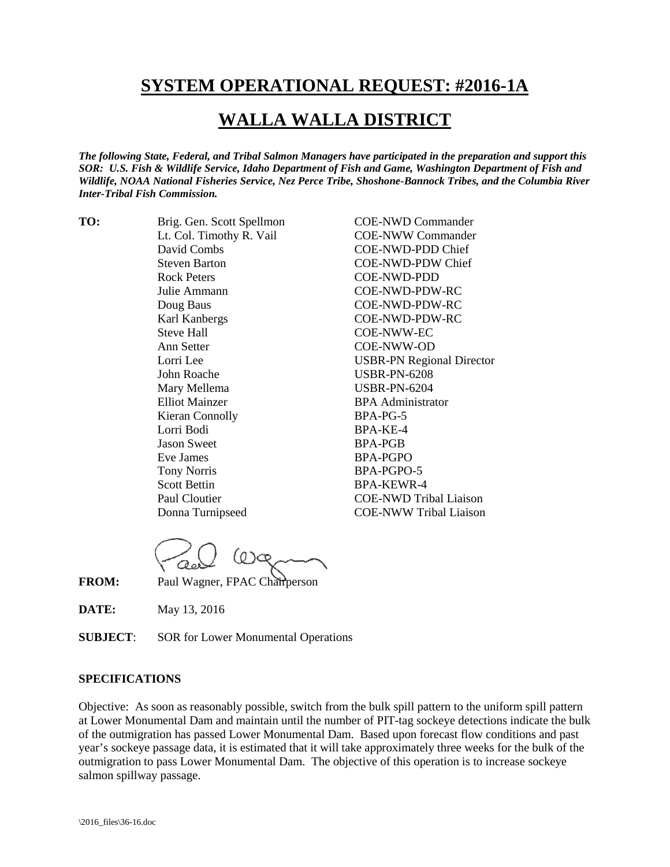## **SYSTEM OPERATIONAL REQUEST: #2016-1A**

## **WALLA WALLA DISTRICT**

*The following State, Federal, and Tribal Salmon Managers have participated in the preparation and support this SOR: U.S. Fish & Wildlife Service, Idaho Department of Fish and Game, Washington Department of Fish and Wildlife, NOAA National Fisheries Service, Nez Perce Tribe, Shoshone-Bannock Tribes, and the Columbia River Inter-Tribal Fish Commission.*

**TO:** Brig. Gen. Scott Spellmon COE-NWD Commander David Combs COE-NWD-PDD Chief Steven Barton COE-NWD-PDW Chief Rock Peters COE-NWD-PDD Julie Ammann COE-NWD-PDW-RC Doug Baus COE-NWD-PDW-RC Karl Kanbergs COE-NWD-PDW-RC Steve Hall COE-NWW-EC Ann Setter COE-NWW-OD John Roache USBR-PN-6208 Mary Mellema USBR-PN-6204 Elliot Mainzer BPA Administrator Kieran Connolly BPA-PG-5 Lorri Bodi BPA-KE-4 Jason Sweet BPA-PGB Eve James BPA-PGPO Tony Norris BPA-PGPO-5<br>Scott Bettin BPA-KEWR-4

Lt. Col. Timothy R. Vail COE-NWW Commander Lorri Lee USBR-PN Regional Director BPA-KEWR-4 Paul Cloutier COE-NWD Tribal Liaison Donna Turnipseed COE-NWW Tribal Liaison

 $0$ **FROM:** Paul Wagner, FPAC Chairperson

**DATE:** May 13, 2016

**SUBJECT**: SOR for Lower Monumental Operations

## **SPECIFICATIONS**

Objective: As soon as reasonably possible, switch from the bulk spill pattern to the uniform spill pattern at Lower Monumental Dam and maintain until the number of PIT-tag sockeye detections indicate the bulk of the outmigration has passed Lower Monumental Dam. Based upon forecast flow conditions and past year's sockeye passage data, it is estimated that it will take approximately three weeks for the bulk of the outmigration to pass Lower Monumental Dam. The objective of this operation is to increase sockeye salmon spillway passage.